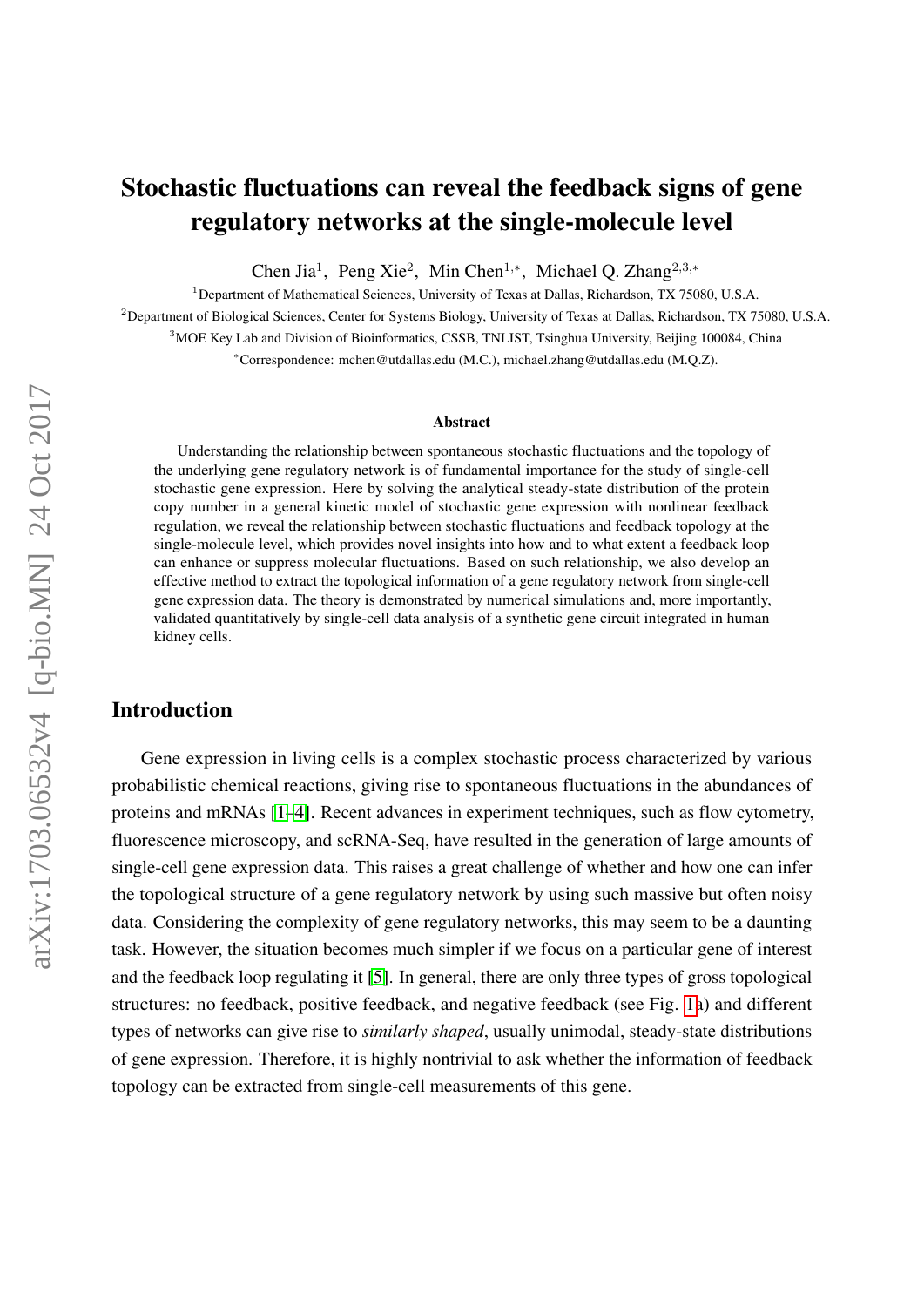# Stochastic fluctuations can reveal the feedback signs of gene regulatory networks at the single-molecule level

Chen Jia<sup>1</sup>, Peng Xie<sup>2</sup>, Min Chen<sup>1,\*</sup>, Michael Q. Zhang<sup>2,3,\*</sup>

<sup>1</sup>Department of Mathematical Sciences, University of Texas at Dallas, Richardson, TX 75080, U.S.A.

<sup>2</sup>Department of Biological Sciences, Center for Systems Biology, University of Texas at Dallas, Richardson, TX 75080, U.S.A.

<sup>3</sup>MOE Key Lab and Division of Bioinformatics, CSSB, TNLIST, Tsinghua University, Beijing 100084, China

<sup>∗</sup>Correspondence: mchen@utdallas.edu (M.C.), michael.zhang@utdallas.edu (M.Q.Z).

#### Abstract

Understanding the relationship between spontaneous stochastic fluctuations and the topology of the underlying gene regulatory network is of fundamental importance for the study of single-cell stochastic gene expression. Here by solving the analytical steady-state distribution of the protein copy number in a general kinetic model of stochastic gene expression with nonlinear feedback regulation, we reveal the relationship between stochastic fluctuations and feedback topology at the single-molecule level, which provides novel insights into how and to what extent a feedback loop can enhance or suppress molecular fluctuations. Based on such relationship, we also develop an effective method to extract the topological information of a gene regulatory network from single-cell gene expression data. The theory is demonstrated by numerical simulations and, more importantly, validated quantitatively by single-cell data analysis of a synthetic gene circuit integrated in human kidney cells.

### Introduction

Gene expression in living cells is a complex stochastic process characterized by various probabilistic chemical reactions, giving rise to spontaneous fluctuations in the abundances of proteins and mRNAs [\[1](#page-10-0)[–4\]](#page-10-1). Recent advances in experiment techniques, such as flow cytometry, fluorescence microscopy, and scRNA-Seq, have resulted in the generation of large amounts of single-cell gene expression data. This raises a great challenge of whether and how one can infer the topological structure of a gene regulatory network by using such massive but often noisy data. Considering the complexity of gene regulatory networks, this may seem to be a daunting task. However, the situation becomes much simpler if we focus on a particular gene of interest and the feedback loop regulating it [\[5\]](#page-10-2). In general, there are only three types of gross topological structures: no feedback, positive feedback, and negative feedback (see Fig. [1a](#page-1-0)) and different types of networks can give rise to *similarly shaped*, usually unimodal, steady-state distributions of gene expression. Therefore, it is highly nontrivial to ask whether the information of feedback topology can be extracted from single-cell measurements of this gene.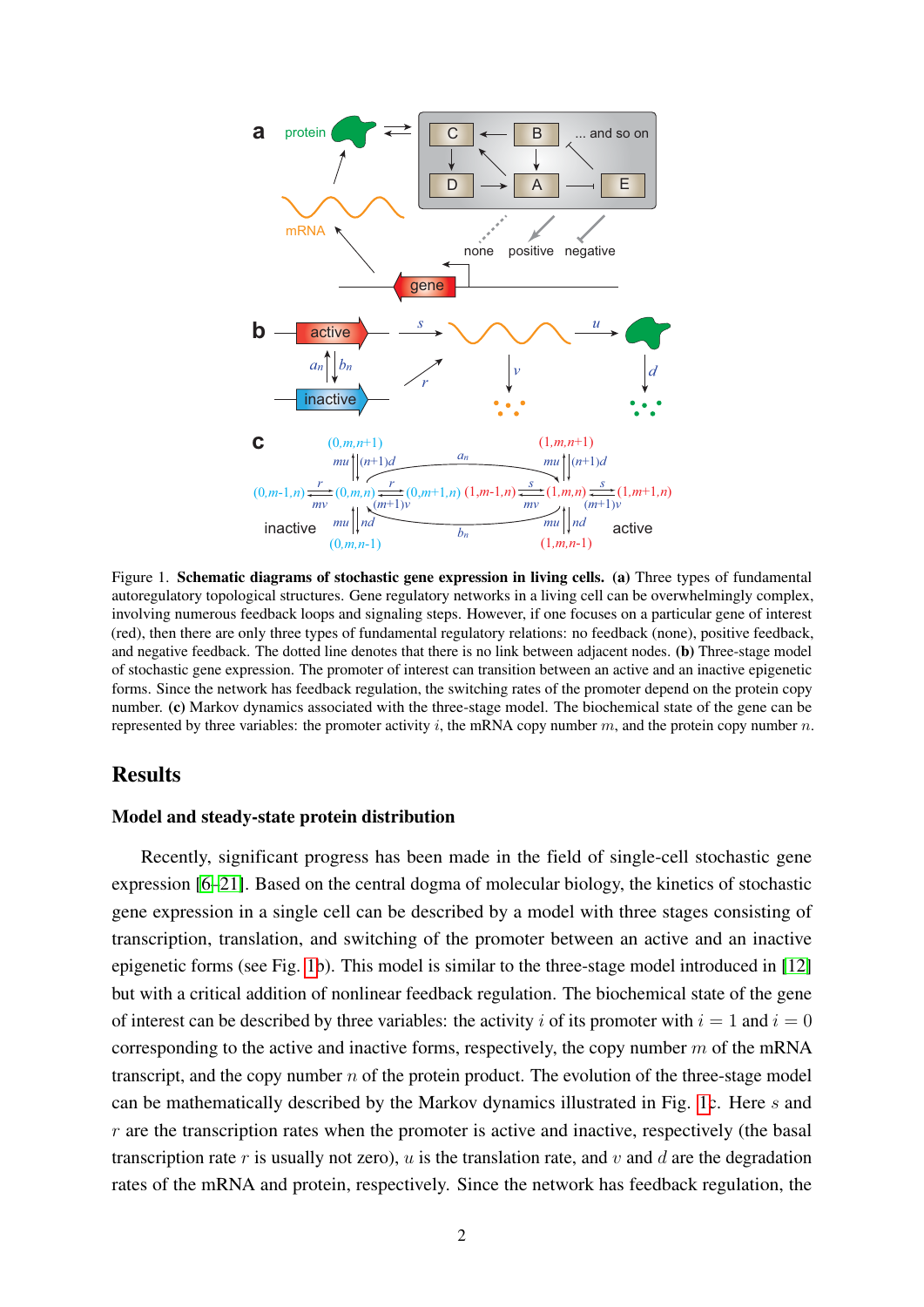

<span id="page-1-0"></span>Figure 1. Schematic diagrams of stochastic gene expression in living cells. (a) Three types of fundamental autoregulatory topological structures. Gene regulatory networks in a living cell can be overwhelmingly complex, involving numerous feedback loops and signaling steps. However, if one focuses on a particular gene of interest (red), then there are only three types of fundamental regulatory relations: no feedback (none), positive feedback, and negative feedback. The dotted line denotes that there is no link between adjacent nodes. (b) Three-stage model of stochastic gene expression. The promoter of interest can transition between an active and an inactive epigenetic forms. Since the network has feedback regulation, the switching rates of the promoter depend on the protein copy number. (c) Markov dynamics associated with the three-stage model. The biochemical state of the gene can be represented by three variables: the promoter activity i, the mRNA copy number m, and the protein copy number  $n$ .

### Results

#### Model and steady-state protein distribution

Recently, significant progress has been made in the field of single-cell stochastic gene expression [\[6–](#page-10-3)[21\]](#page-11-0). Based on the central dogma of molecular biology, the kinetics of stochastic gene expression in a single cell can be described by a model with three stages consisting of transcription, translation, and switching of the promoter between an active and an inactive epigenetic forms (see Fig. [1b](#page-1-0)). This model is similar to the three-stage model introduced in [\[12\]](#page-11-1) but with a critical addition of nonlinear feedback regulation. The biochemical state of the gene of interest can be described by three variables: the activity i of its promoter with  $i = 1$  and  $i = 0$ corresponding to the active and inactive forms, respectively, the copy number  $m$  of the mRNA transcript, and the copy number  $n$  of the protein product. The evolution of the three-stage model can be mathematically described by the Markov dynamics illustrated in Fig. [1c](#page-1-0). Here s and  $r$  are the transcription rates when the promoter is active and inactive, respectively (the basal transcription rate r is usually not zero), u is the translation rate, and v and d are the degradation rates of the mRNA and protein, respectively. Since the network has feedback regulation, the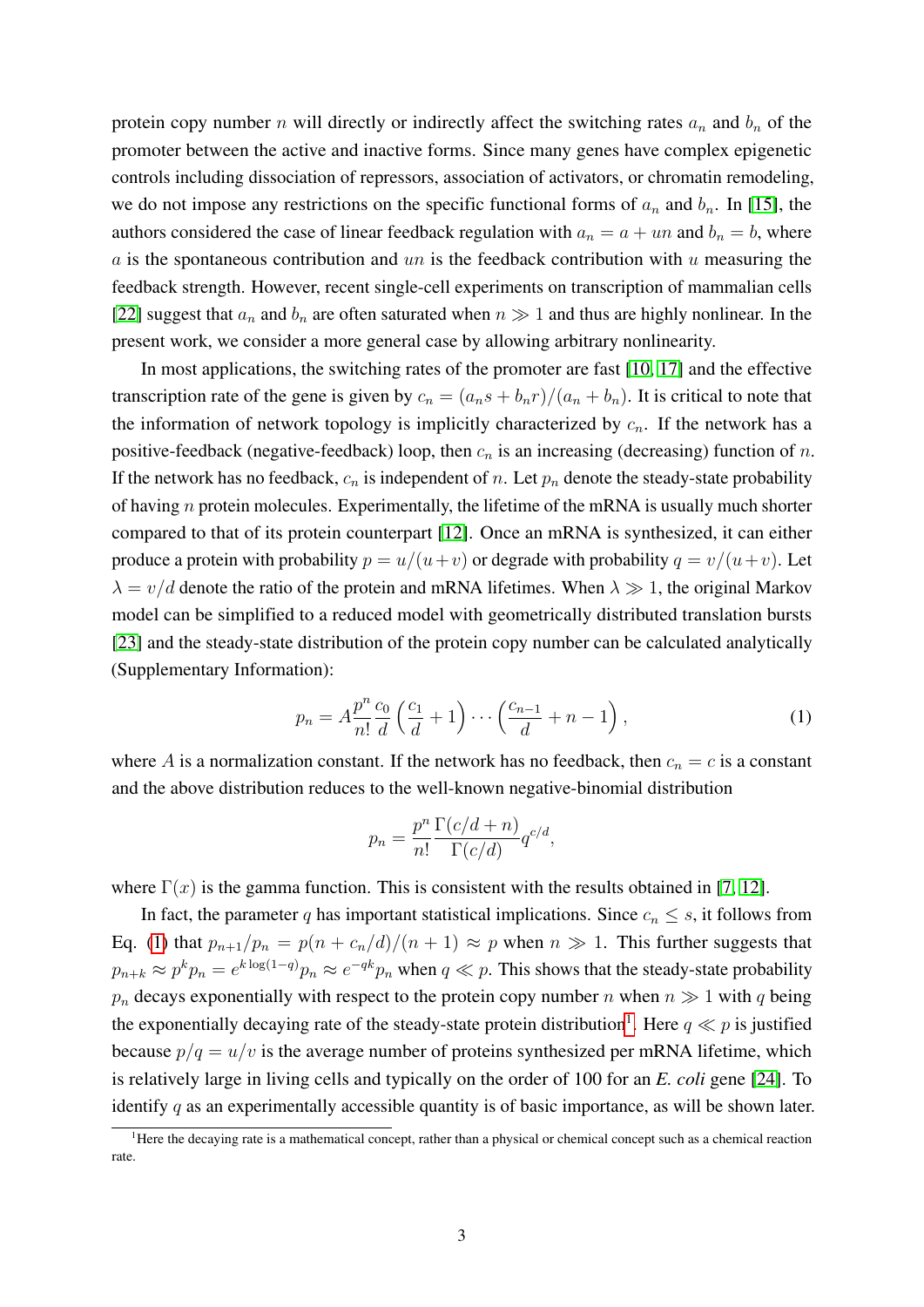protein copy number n will directly or indirectly affect the switching rates  $a_n$  and  $b_n$  of the promoter between the active and inactive forms. Since many genes have complex epigenetic controls including dissociation of repressors, association of activators, or chromatin remodeling, we do not impose any restrictions on the specific functional forms of  $a_n$  and  $b_n$ . In [\[15\]](#page-11-2), the authors considered the case of linear feedback regulation with  $a_n = a + un$  and  $b_n = b$ , where a is the spontaneous contribution and un is the feedback contribution with u measuring the feedback strength. However, recent single-cell experiments on transcription of mammalian cells [\[22\]](#page-11-3) suggest that  $a_n$  and  $b_n$  are often saturated when  $n \gg 1$  and thus are highly nonlinear. In the present work, we consider a more general case by allowing arbitrary nonlinearity.

In most applications, the switching rates of the promoter are fast [\[10,](#page-11-4) [17\]](#page-11-5) and the effective transcription rate of the gene is given by  $c_n = (a_n s + b_n r)/(a_n + b_n)$ . It is critical to note that the information of network topology is implicitly characterized by  $c_n$ . If the network has a positive-feedback (negative-feedback) loop, then  $c_n$  is an increasing (decreasing) function of n. If the network has no feedback,  $c_n$  is independent of n. Let  $p_n$  denote the steady-state probability of having  $n$  protein molecules. Experimentally, the lifetime of the mRNA is usually much shorter compared to that of its protein counterpart [\[12\]](#page-11-1). Once an mRNA is synthesized, it can either produce a protein with probability  $p = u/(u+v)$  or degrade with probability  $q = v/(u+v)$ . Let  $\lambda = v/d$  denote the ratio of the protein and mRNA lifetimes. When  $\lambda \gg 1$ , the original Markov model can be simplified to a reduced model with geometrically distributed translation bursts [\[23\]](#page-11-6) and the steady-state distribution of the protein copy number can be calculated analytically (Supplementary Information):

<span id="page-2-0"></span>
$$
p_n = A \frac{p^n}{n!} \frac{c_0}{d} \left( \frac{c_1}{d} + 1 \right) \cdots \left( \frac{c_{n-1}}{d} + n - 1 \right),\tag{1}
$$

where A is a normalization constant. If the network has no feedback, then  $c_n = c$  is a constant and the above distribution reduces to the well-known negative-binomial distribution

$$
p_n = \frac{p^n}{n!} \frac{\Gamma(c/d + n)}{\Gamma(c/d)} q^{c/d},
$$

where  $\Gamma(x)$  is the gamma function. This is consistent with the results obtained in [\[7,](#page-10-4) [12\]](#page-11-1).

In fact, the parameter q has important statistical implications. Since  $c_n \leq s$ , it follows from Eq. [\(1\)](#page-2-0) that  $p_{n+1}/p_n = p(n + c_n/d)/(n + 1) \approx p$  when  $n \gg 1$ . This further suggests that  $p_{n+k} \approx p^k p_n = e^{k \log(1-q)} p_n \approx e^{-qk} p_n$  when  $q \ll p$ . This shows that the steady-state probability  $p_n$  decays exponentially with respect to the protein copy number n when  $n \gg 1$  with q being the exponentially decaying rate of the steady-state protein distribution<sup>[1](#page-2-1)</sup>. Here  $q \ll p$  is justified because  $p/q = u/v$  is the average number of proteins synthesized per mRNA lifetime, which is relatively large in living cells and typically on the order of 100 for an *E. coli* gene [\[24\]](#page-11-7). To identify  $q$  as an experimentally accessible quantity is of basic importance, as will be shown later.

<span id="page-2-1"></span><sup>&</sup>lt;sup>1</sup>Here the decaying rate is a mathematical concept, rather than a physical or chemical concept such as a chemical reaction rate.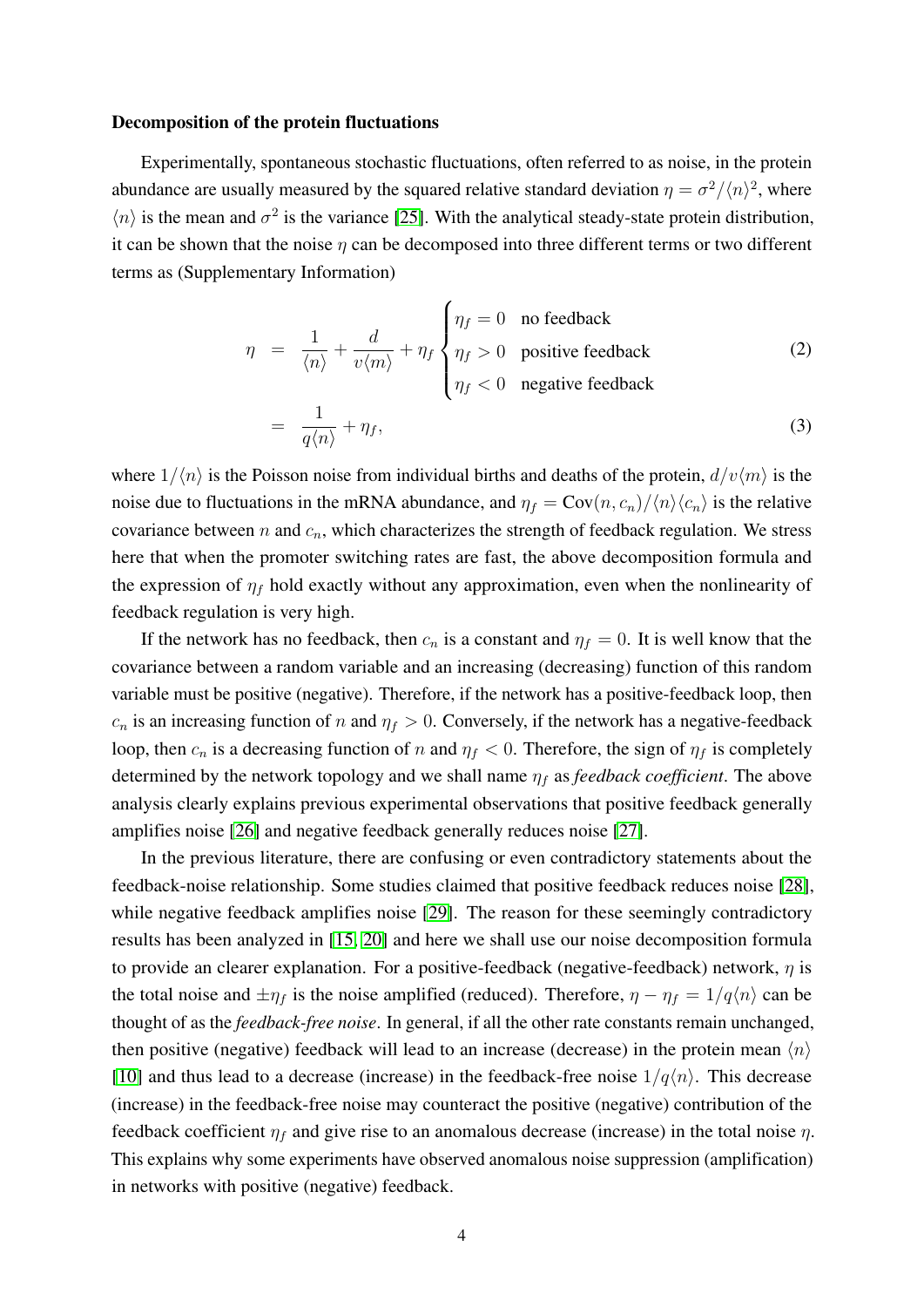#### Decomposition of the protein fluctuations

Experimentally, spontaneous stochastic fluctuations, often referred to as noise, in the protein abundance are usually measured by the squared relative standard deviation  $\eta = \frac{\sigma^2}{\langle n \rangle^2}$ , where  $\langle n \rangle$  is the mean and  $\sigma^2$  is the variance [\[25\]](#page-11-8). With the analytical steady-state protein distribution, it can be shown that the noise  $\eta$  can be decomposed into three different terms or two different terms as (Supplementary Information)

<span id="page-3-0"></span>
$$
\eta = \frac{1}{\langle n \rangle} + \frac{d}{v \langle m \rangle} + \eta_f \begin{cases} \eta_f = 0 & \text{no feedback} \\ \eta_f > 0 & \text{positive feedback} \\ \eta_f < 0 & \text{negative feedback} \end{cases}
$$
 (2)  
= 
$$
\frac{1}{q \langle n \rangle} + \eta_f,
$$

where  $1/\langle n \rangle$  is the Poisson noise from individual births and deaths of the protein,  $d/v\langle m \rangle$  is the noise due to fluctuations in the mRNA abundance, and  $\eta_f = \text{Cov}(n, c_n)/\langle n \rangle \langle c_n \rangle$  is the relative covariance between  $n$  and  $c_n$ , which characterizes the strength of feedback regulation. We stress here that when the promoter switching rates are fast, the above decomposition formula and the expression of  $\eta_f$  hold exactly without any approximation, even when the nonlinearity of feedback regulation is very high.

If the network has no feedback, then  $c_n$  is a constant and  $\eta_f = 0$ . It is well know that the covariance between a random variable and an increasing (decreasing) function of this random variable must be positive (negative). Therefore, if the network has a positive-feedback loop, then  $c_n$  is an increasing function of n and  $\eta_f > 0$ . Conversely, if the network has a negative-feedback loop, then  $c_n$  is a decreasing function of n and  $\eta_f < 0$ . Therefore, the sign of  $\eta_f$  is completely determined by the network topology and we shall name  $\eta_f$  as *feedback coefficient*. The above analysis clearly explains previous experimental observations that positive feedback generally amplifies noise [\[26\]](#page-11-9) and negative feedback generally reduces noise [\[27\]](#page-11-10).

In the previous literature, there are confusing or even contradictory statements about the feedback-noise relationship. Some studies claimed that positive feedback reduces noise [\[28\]](#page-11-11), while negative feedback amplifies noise [\[29\]](#page-11-12). The reason for these seemingly contradictory results has been analyzed in [\[15,](#page-11-2) [20\]](#page-11-13) and here we shall use our noise decomposition formula to provide an clearer explanation. For a positive-feedback (negative-feedback) network,  $\eta$  is the total noise and  $\pm \eta_f$  is the noise amplified (reduced). Therefore,  $\eta - \eta_f = 1/q\langle n \rangle$  can be thought of as the *feedback-free noise*. In general, if all the other rate constants remain unchanged, then positive (negative) feedback will lead to an increase (decrease) in the protein mean  $\langle n \rangle$ [\[10\]](#page-11-4) and thus lead to a decrease (increase) in the feedback-free noise  $1/q\langle n\rangle$ . This decrease (increase) in the feedback-free noise may counteract the positive (negative) contribution of the feedback coefficient  $\eta_f$  and give rise to an anomalous decrease (increase) in the total noise  $\eta$ . This explains why some experiments have observed anomalous noise suppression (amplification) in networks with positive (negative) feedback.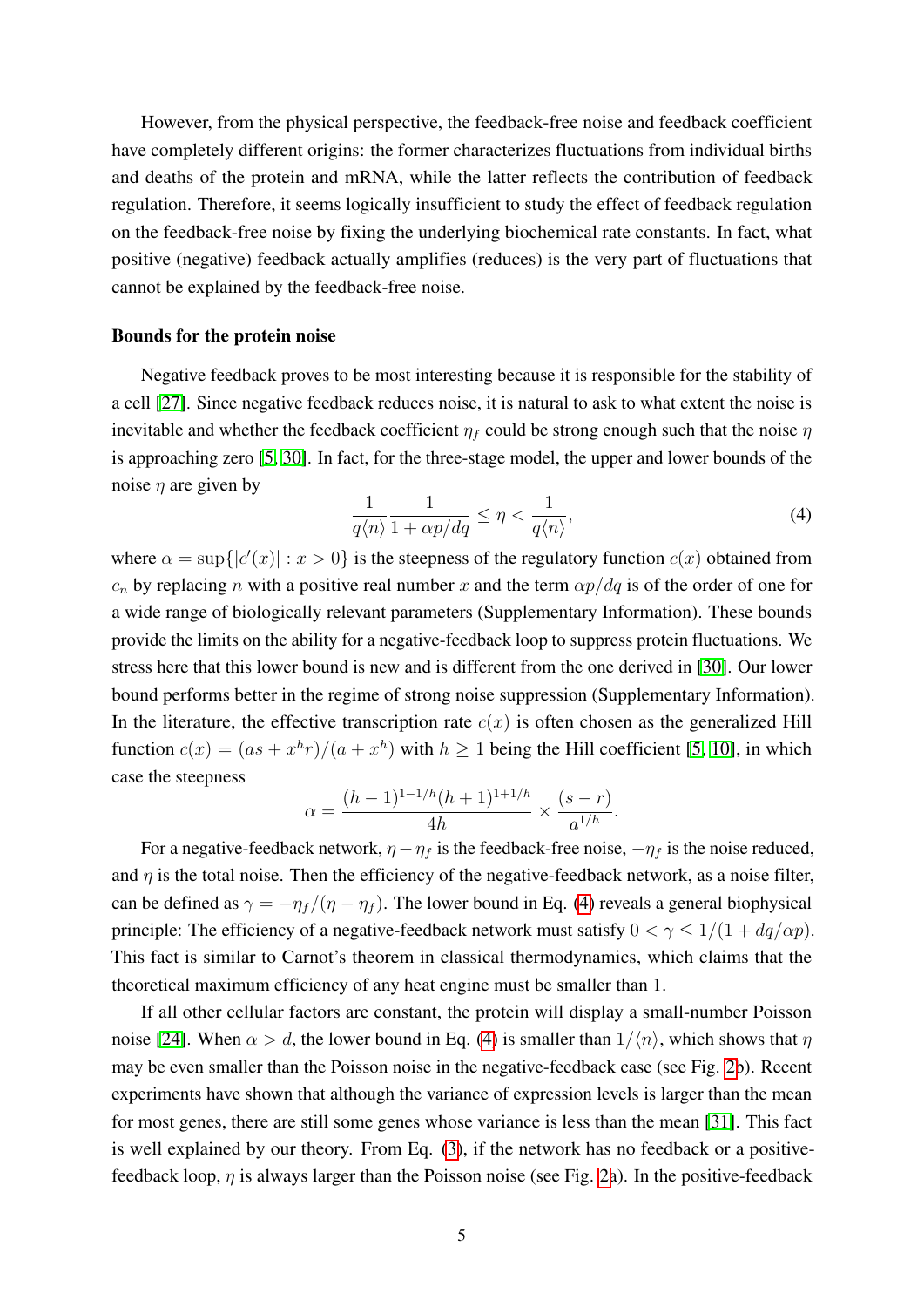However, from the physical perspective, the feedback-free noise and feedback coefficient have completely different origins: the former characterizes fluctuations from individual births and deaths of the protein and mRNA, while the latter reflects the contribution of feedback regulation. Therefore, it seems logically insufficient to study the effect of feedback regulation on the feedback-free noise by fixing the underlying biochemical rate constants. In fact, what positive (negative) feedback actually amplifies (reduces) is the very part of fluctuations that cannot be explained by the feedback-free noise.

#### Bounds for the protein noise

Negative feedback proves to be most interesting because it is responsible for the stability of a cell [\[27\]](#page-11-10). Since negative feedback reduces noise, it is natural to ask to what extent the noise is inevitable and whether the feedback coefficient  $\eta_f$  could be strong enough such that the noise  $\eta$ is approaching zero [\[5,](#page-10-2) [30\]](#page-11-14). In fact, for the three-stage model, the upper and lower bounds of the noise  $\eta$  are given by

<span id="page-4-0"></span>
$$
\frac{1}{q\langle n\rangle} \frac{1}{1 + \alpha p/dq} \le \eta < \frac{1}{q\langle n\rangle},\tag{4}
$$

where  $\alpha = \sup\{|c'(x)| : x > 0\}$  is the steepness of the regulatory function  $c(x)$  obtained from  $c_n$  by replacing n with a positive real number x and the term  $\alpha p/dq$  is of the order of one for a wide range of biologically relevant parameters (Supplementary Information). These bounds provide the limits on the ability for a negative-feedback loop to suppress protein fluctuations. We stress here that this lower bound is new and is different from the one derived in [\[30\]](#page-11-14). Our lower bound performs better in the regime of strong noise suppression (Supplementary Information). In the literature, the effective transcription rate  $c(x)$  is often chosen as the generalized Hill function  $c(x) = (as + x<sup>h</sup>r)/(a + x<sup>h</sup>)$  with  $h \ge 1$  being the Hill coefficient [\[5,](#page-10-2) [10\]](#page-11-4), in which case the steepness

$$
\alpha = \frac{(h-1)^{1-1/h}(h+1)^{1+1/h}}{4h} \times \frac{(s-r)}{a^{1/h}}.
$$

For a negative-feedback network,  $\eta - \eta_f$  is the feedback-free noise,  $-\eta_f$  is the noise reduced, and  $\eta$  is the total noise. Then the efficiency of the negative-feedback network, as a noise filter, can be defined as  $\gamma = -\eta_f/(\eta - \eta_f)$ . The lower bound in Eq. [\(4\)](#page-4-0) reveals a general biophysical principle: The efficiency of a negative-feedback network must satisfy  $0 < \gamma \leq 1/(1 + dq/\alpha p)$ . This fact is similar to Carnot's theorem in classical thermodynamics, which claims that the theoretical maximum efficiency of any heat engine must be smaller than 1.

If all other cellular factors are constant, the protein will display a small-number Poisson noise [\[24\]](#page-11-7). When  $\alpha > d$ , the lower bound in Eq. [\(4\)](#page-4-0) is smaller than  $1/\langle n \rangle$ , which shows that  $\eta$ may be even smaller than the Poisson noise in the negative-feedback case (see Fig. [2b](#page-5-0)). Recent experiments have shown that although the variance of expression levels is larger than the mean for most genes, there are still some genes whose variance is less than the mean [\[31\]](#page-11-15). This fact is well explained by our theory. From Eq. [\(3\)](#page-3-0), if the network has no feedback or a positivefeedback loop,  $\eta$  is always larger than the Poisson noise (see Fig. [2a](#page-5-0)). In the positive-feedback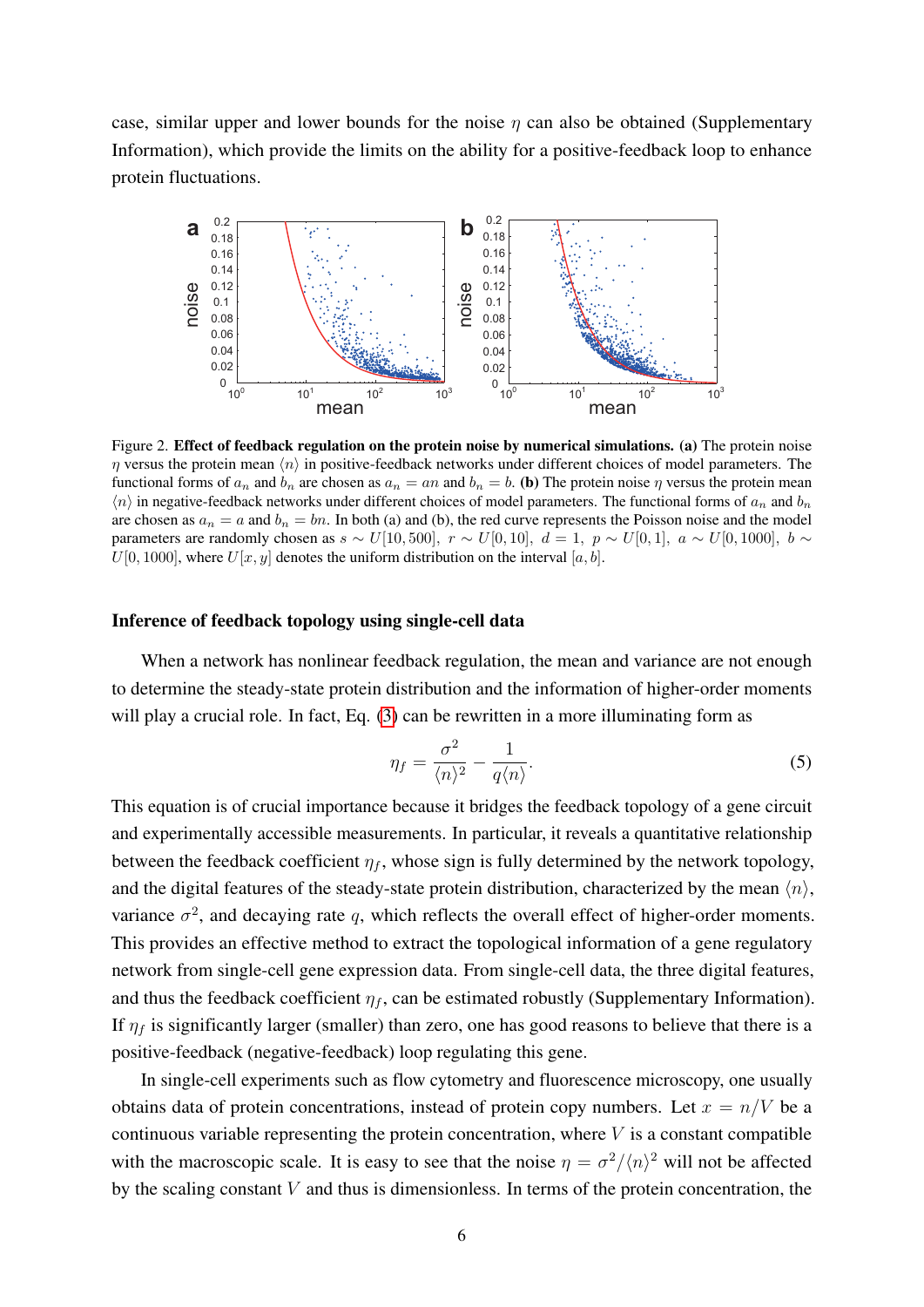case, similar upper and lower bounds for the noise  $\eta$  can also be obtained (Supplementary Information), which provide the limits on the ability for a positive-feedback loop to enhance protein fluctuations.



<span id="page-5-0"></span>Figure 2. Effect of feedback regulation on the protein noise by numerical simulations. (a) The protein noise  $\eta$  versus the protein mean  $\langle n \rangle$  in positive-feedback networks under different choices of model parameters. The functional forms of  $a_n$  and  $b_n$  are chosen as  $a_n = an$  and  $b_n = b$ . (b) The protein noise  $\eta$  versus the protein mean  $\langle n \rangle$  in negative-feedback networks under different choices of model parameters. The functional forms of  $a_n$  and  $b_n$ are chosen as  $a_n = a$  and  $b_n = bn$ . In both (a) and (b), the red curve represents the Poisson noise and the model parameters are randomly chosen as  $s \sim U[10, 500]$ ,  $r \sim U[0, 10]$ ,  $d = 1$ ,  $p \sim U[0, 1]$ ,  $a \sim U[0, 1000]$ ,  $b \sim$  $U[0, 1000]$ , where  $U[x, y]$  denotes the uniform distribution on the interval [a, b].

#### Inference of feedback topology using single-cell data

When a network has nonlinear feedback regulation, the mean and variance are not enough to determine the steady-state protein distribution and the information of higher-order moments will play a crucial role. In fact, Eq. [\(3\)](#page-3-0) can be rewritten in a more illuminating form as

<span id="page-5-1"></span>
$$
\eta_f = \frac{\sigma^2}{\langle n \rangle^2} - \frac{1}{q \langle n \rangle}.
$$
\n(5)

This equation is of crucial importance because it bridges the feedback topology of a gene circuit and experimentally accessible measurements. In particular, it reveals a quantitative relationship between the feedback coefficient  $\eta_f$ , whose sign is fully determined by the network topology, and the digital features of the steady-state protein distribution, characterized by the mean  $\langle n \rangle$ , variance  $\sigma^2$ , and decaying rate q, which reflects the overall effect of higher-order moments. This provides an effective method to extract the topological information of a gene regulatory network from single-cell gene expression data. From single-cell data, the three digital features, and thus the feedback coefficient  $\eta_f$ , can be estimated robustly (Supplementary Information). If  $\eta_f$  is significantly larger (smaller) than zero, one has good reasons to believe that there is a positive-feedback (negative-feedback) loop regulating this gene.

In single-cell experiments such as flow cytometry and fluorescence microscopy, one usually obtains data of protein concentrations, instead of protein copy numbers. Let  $x = n/V$  be a continuous variable representing the protein concentration, where  $V$  is a constant compatible with the macroscopic scale. It is easy to see that the noise  $\eta = \frac{\sigma^2}{\langle n \rangle^2}$  will not be affected by the scaling constant  $V$  and thus is dimensionless. In terms of the protein concentration, the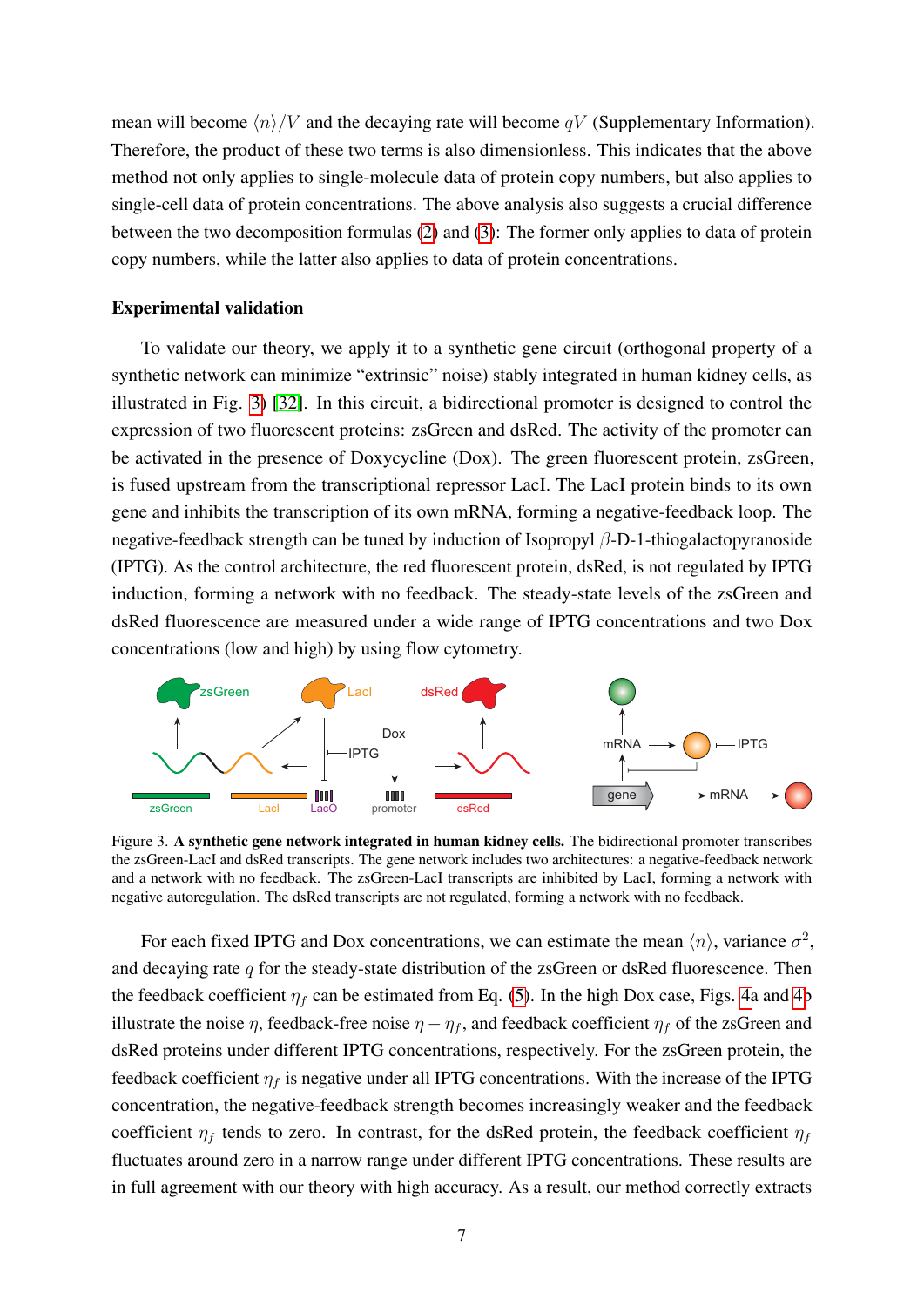mean will become  $\langle n \rangle/V$  and the decaying rate will become qV (Supplementary Information). Therefore, the product of these two terms is also dimensionless. This indicates that the above method not only applies to single-molecule data of protein copy numbers, but also applies to single-cell data of protein concentrations. The above analysis also suggests a crucial difference between the two decomposition formulas [\(2\)](#page-3-0) and [\(3\)](#page-3-0): The former only applies to data of protein copy numbers, while the latter also applies to data of protein concentrations.

#### Experimental validation

To validate our theory, we apply it to a synthetic gene circuit (orthogonal property of a synthetic network can minimize "extrinsic" noise) stably integrated in human kidney cells, as illustrated in Fig. [3\)](#page-6-0) [\[32\]](#page-11-16). In this circuit, a bidirectional promoter is designed to control the expression of two fluorescent proteins: zsGreen and dsRed. The activity of the promoter can be activated in the presence of Doxycycline (Dox). The green fluorescent protein, zsGreen, is fused upstream from the transcriptional repressor LacI. The LacI protein binds to its own gene and inhibits the transcription of its own mRNA, forming a negative-feedback loop. The negative-feedback strength can be tuned by induction of Isopropyl  $\beta$ -D-1-thiogalactopyranoside (IPTG). As the control architecture, the red fluorescent protein, dsRed, is not regulated by IPTG induction, forming a network with no feedback. The steady-state levels of the zsGreen and dsRed fluorescence are measured under a wide range of IPTG concentrations and two Dox concentrations (low and high) by using flow cytometry.



<span id="page-6-0"></span>Figure 3. A synthetic gene network integrated in human kidney cells. The bidirectional promoter transcribes the zsGreen-LacI and dsRed transcripts. The gene network includes two architectures: a negative-feedback network and a network with no feedback. The zsGreen-LacI transcripts are inhibited by LacI, forming a network with negative autoregulation. The dsRed transcripts are not regulated, forming a network with no feedback.

For each fixed IPTG and Dox concentrations, we can estimate the mean  $\langle n \rangle$ , variance  $\sigma^2$ , and decaying rate  $q$  for the steady-state distribution of the zsGreen or dsRed fluorescence. Then the feedback coefficient  $\eta_f$  can be estimated from Eq. [\(5\)](#page-5-1). In the high Dox case, Figs. [4a](#page-7-0) and [4b](#page-7-0) illustrate the noise  $\eta$ , feedback-free noise  $\eta - \eta_f$ , and feedback coefficient  $\eta_f$  of the zsGreen and dsRed proteins under different IPTG concentrations, respectively. For the zsGreen protein, the feedback coefficient  $\eta_f$  is negative under all IPTG concentrations. With the increase of the IPTG concentration, the negative-feedback strength becomes increasingly weaker and the feedback coefficient  $\eta_f$  tends to zero. In contrast, for the dsRed protein, the feedback coefficient  $\eta_f$ fluctuates around zero in a narrow range under different IPTG concentrations. These results are in full agreement with our theory with high accuracy. As a result, our method correctly extracts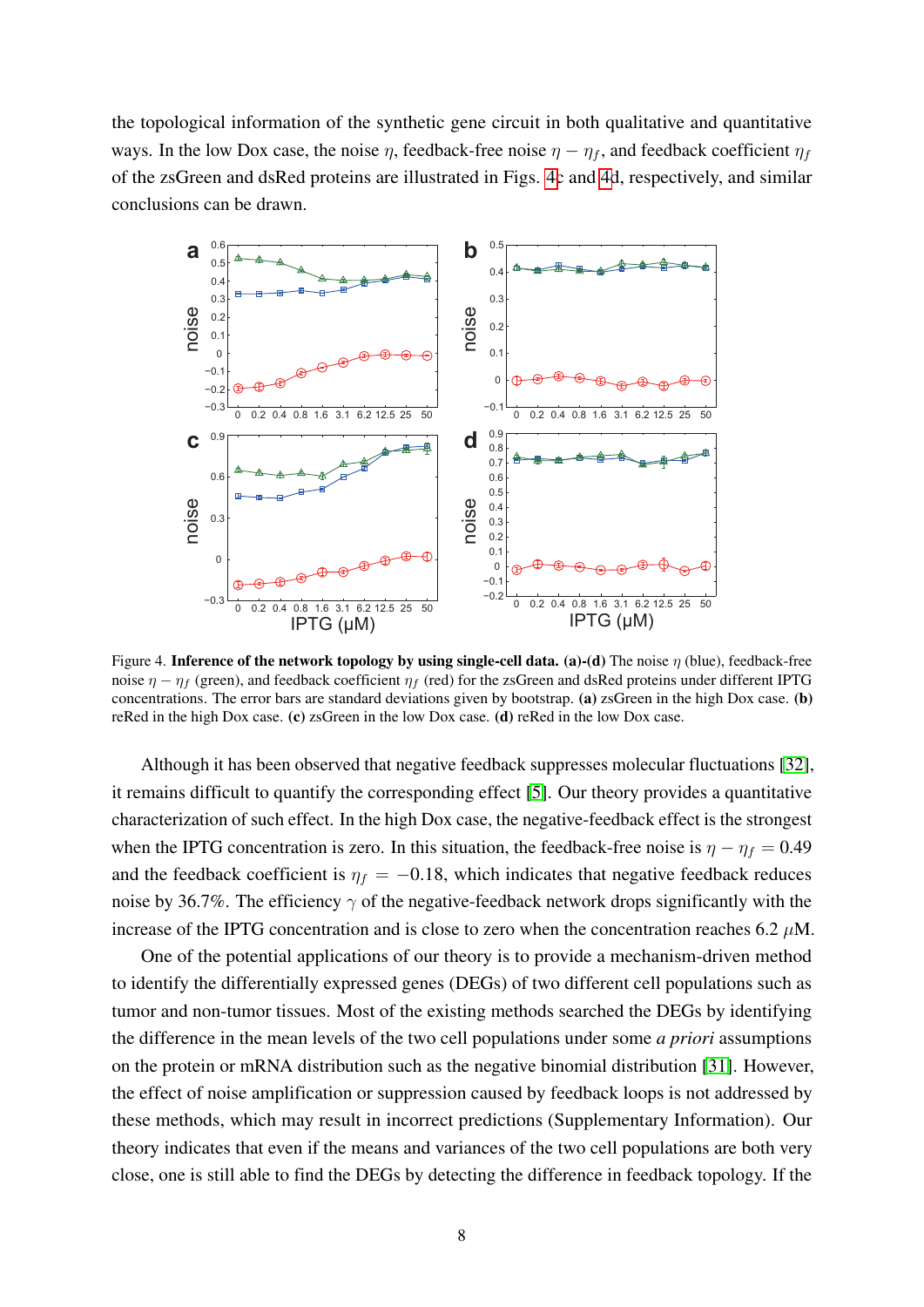the topological information of the synthetic gene circuit in both qualitative and quantitative ways. In the low Dox case, the noise  $\eta$ , feedback-free noise  $\eta - \eta_f$ , and feedback coefficient  $\eta_f$ of the zsGreen and dsRed proteins are illustrated in Figs. [4c](#page-7-0) and [4d](#page-7-0), respectively, and similar conclusions can be drawn.



<span id="page-7-0"></span>Figure 4. Inference of the network topology by using single-cell data. (a)-(d) The noise  $\eta$  (blue), feedback-free noise  $\eta - \eta_f$  (green), and feedback coefficient  $\eta_f$  (red) for the zsGreen and dsRed proteins under different IPTG concentrations. The error bars are standard deviations given by bootstrap. (a) zsGreen in the high Dox case. (b) reRed in the high Dox case. (c) zsGreen in the low Dox case. (d) reRed in the low Dox case.

Although it has been observed that negative feedback suppresses molecular fluctuations [\[32\]](#page-11-16), it remains difficult to quantify the corresponding effect [\[5\]](#page-10-2). Our theory provides a quantitative characterization of such effect. In the high Dox case, the negative-feedback effect is the strongest when the IPTG concentration is zero. In this situation, the feedback-free noise is  $\eta - \eta_f = 0.49$ and the feedback coefficient is  $\eta_f = -0.18$ , which indicates that negative feedback reduces noise by 36.7%. The efficiency  $\gamma$  of the negative-feedback network drops significantly with the increase of the IPTG concentration and is close to zero when the concentration reaches 6.2  $\mu$ M.

One of the potential applications of our theory is to provide a mechanism-driven method to identify the differentially expressed genes (DEGs) of two different cell populations such as tumor and non-tumor tissues. Most of the existing methods searched the DEGs by identifying the difference in the mean levels of the two cell populations under some *a priori* assumptions on the protein or mRNA distribution such as the negative binomial distribution [\[31\]](#page-11-15). However, the effect of noise amplification or suppression caused by feedback loops is not addressed by these methods, which may result in incorrect predictions (Supplementary Information). Our theory indicates that even if the means and variances of the two cell populations are both very close, one is still able to find the DEGs by detecting the difference in feedback topology. If the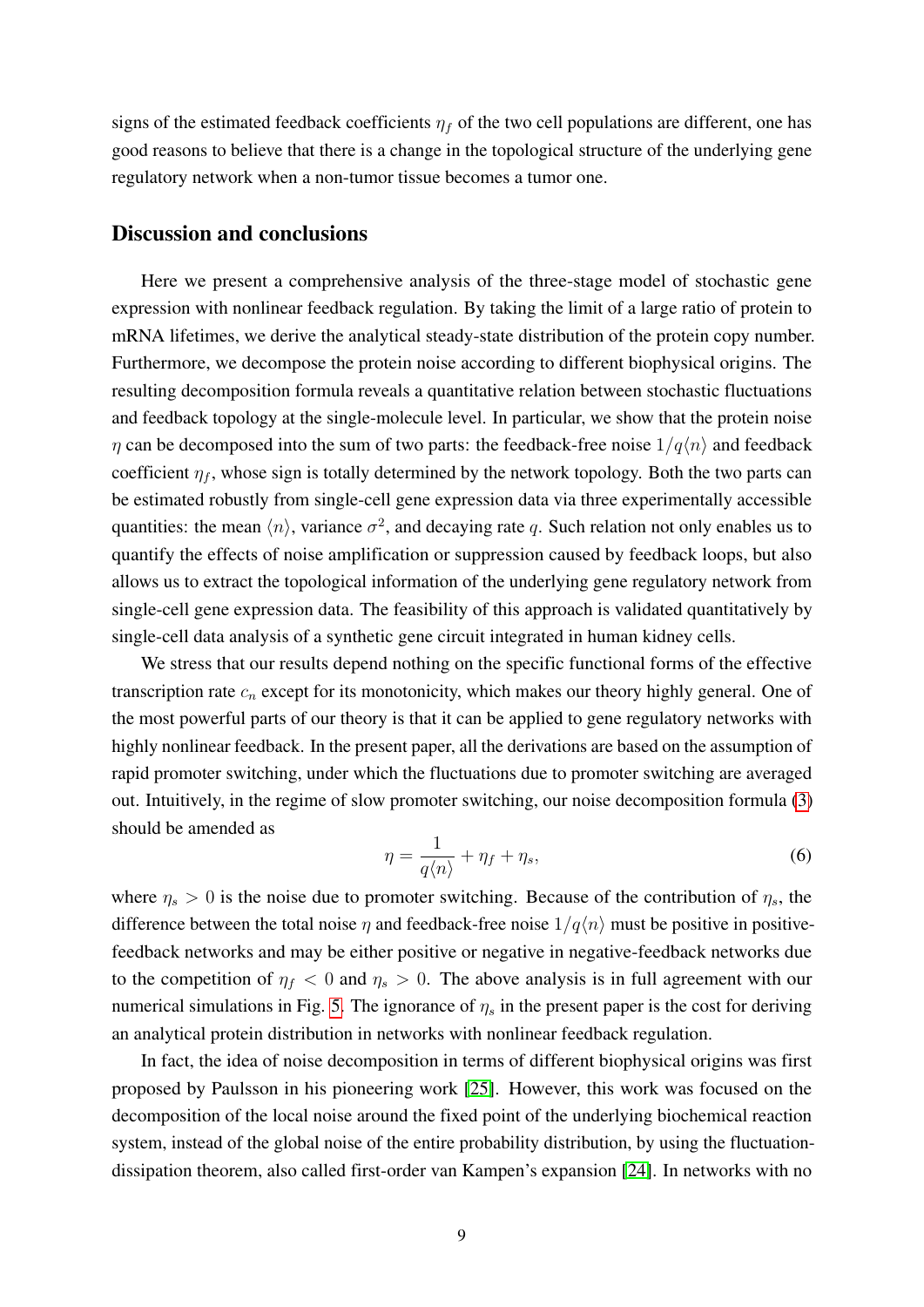signs of the estimated feedback coefficients  $\eta_f$  of the two cell populations are different, one has good reasons to believe that there is a change in the topological structure of the underlying gene regulatory network when a non-tumor tissue becomes a tumor one.

### Discussion and conclusions

Here we present a comprehensive analysis of the three-stage model of stochastic gene expression with nonlinear feedback regulation. By taking the limit of a large ratio of protein to mRNA lifetimes, we derive the analytical steady-state distribution of the protein copy number. Furthermore, we decompose the protein noise according to different biophysical origins. The resulting decomposition formula reveals a quantitative relation between stochastic fluctuations and feedback topology at the single-molecule level. In particular, we show that the protein noise  $\eta$  can be decomposed into the sum of two parts: the feedback-free noise  $1/q\langle n\rangle$  and feedback coefficient  $\eta_f$ , whose sign is totally determined by the network topology. Both the two parts can be estimated robustly from single-cell gene expression data via three experimentally accessible quantities: the mean  $\langle n \rangle$ , variance  $\sigma^2$ , and decaying rate q. Such relation not only enables us to quantify the effects of noise amplification or suppression caused by feedback loops, but also allows us to extract the topological information of the underlying gene regulatory network from single-cell gene expression data. The feasibility of this approach is validated quantitatively by single-cell data analysis of a synthetic gene circuit integrated in human kidney cells.

We stress that our results depend nothing on the specific functional forms of the effective transcription rate  $c_n$  except for its monotonicity, which makes our theory highly general. One of the most powerful parts of our theory is that it can be applied to gene regulatory networks with highly nonlinear feedback. In the present paper, all the derivations are based on the assumption of rapid promoter switching, under which the fluctuations due to promoter switching are averaged out. Intuitively, in the regime of slow promoter switching, our noise decomposition formula [\(3\)](#page-3-0) should be amended as

$$
\eta = \frac{1}{q\langle n \rangle} + \eta_f + \eta_s,\tag{6}
$$

where  $\eta_s > 0$  is the noise due to promoter switching. Because of the contribution of  $\eta_s$ , the difference between the total noise  $\eta$  and feedback-free noise  $1/q\langle n\rangle$  must be positive in positivefeedback networks and may be either positive or negative in negative-feedback networks due to the competition of  $\eta_f < 0$  and  $\eta_s > 0$ . The above analysis is in full agreement with our numerical simulations in Fig. [5.](#page-9-0) The ignorance of  $\eta_s$  in the present paper is the cost for deriving an analytical protein distribution in networks with nonlinear feedback regulation.

In fact, the idea of noise decomposition in terms of different biophysical origins was first proposed by Paulsson in his pioneering work [\[25\]](#page-11-8). However, this work was focused on the decomposition of the local noise around the fixed point of the underlying biochemical reaction system, instead of the global noise of the entire probability distribution, by using the fluctuationdissipation theorem, also called first-order van Kampen's expansion [\[24\]](#page-11-7). In networks with no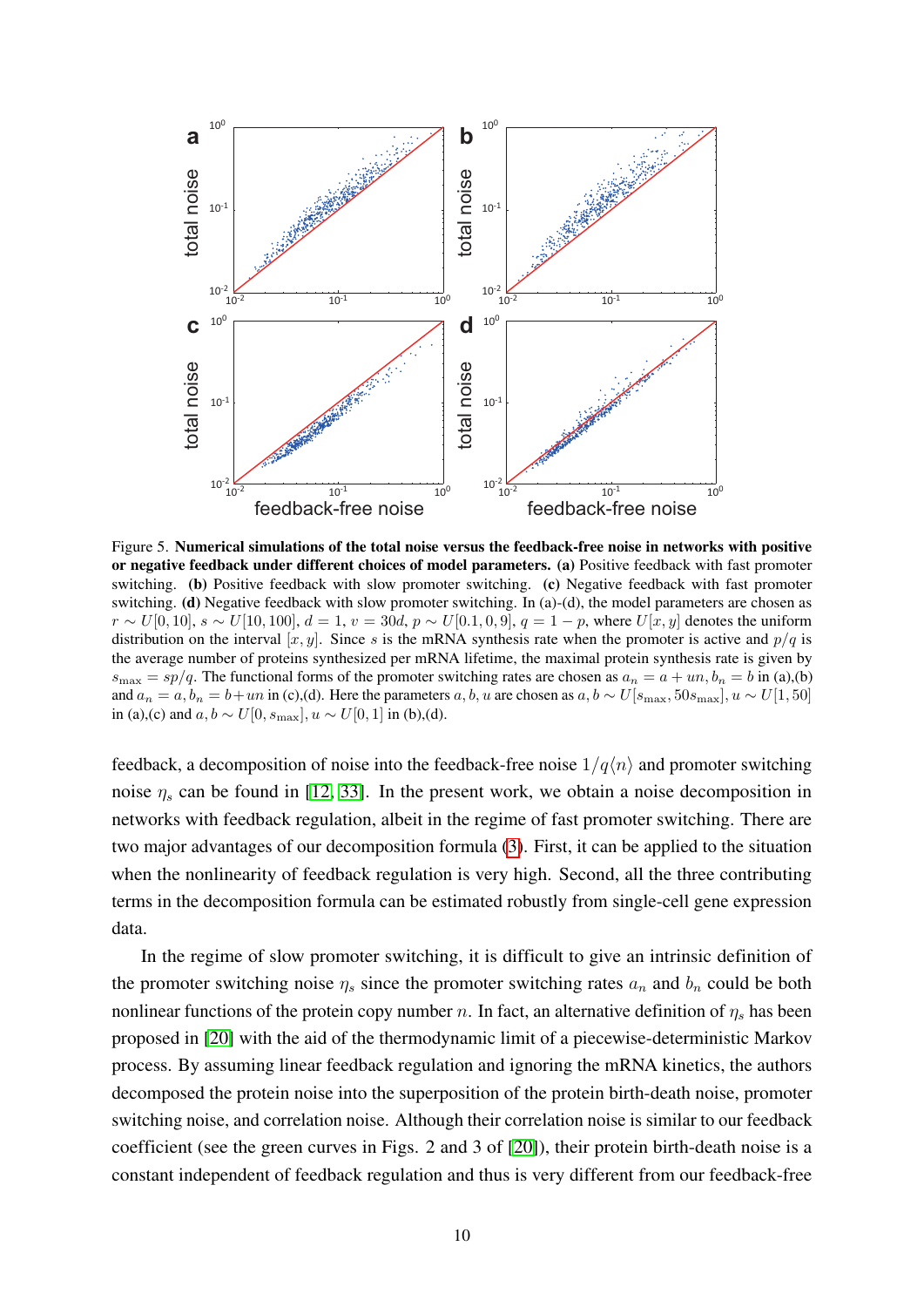

<span id="page-9-0"></span>Figure 5. Numerical simulations of the total noise versus the feedback-free noise in networks with positive or negative feedback under different choices of model parameters. (a) Positive feedback with fast promoter switching. (b) Positive feedback with slow promoter switching. (c) Negative feedback with fast promoter switching. (d) Negative feedback with slow promoter switching. In (a)-(d), the model parameters are chosen as  $r \sim U[0, 10]$ ,  $s \sim U[10, 100]$ ,  $d = 1$ ,  $v = 30d$ ,  $p \sim U[0.1, 0, 9]$ ,  $q = 1 - p$ , where  $U[x, y]$  denotes the uniform distribution on the interval  $[x, y]$ . Since s is the mRNA synthesis rate when the promoter is active and  $p/q$  is the average number of proteins synthesized per mRNA lifetime, the maximal protein synthesis rate is given by  $s_{\text{max}} = sp/q$ . The functional forms of the promoter switching rates are chosen as  $a_n = a + un, b_n = b$  in (a),(b) and  $a_n = a, b_n = b + un$  in (c),(d). Here the parameters a, b, u are chosen as  $a, b \sim U[s_{\text{max}}, 50s_{\text{max}}], u \sim U[1, 50]$ in (a),(c) and  $a, b \sim U[0, s_{\text{max}}], u \sim U[0, 1]$  in (b),(d).

feedback, a decomposition of noise into the feedback-free noise  $1/q\langle n\rangle$  and promoter switching noise  $\eta_s$  can be found in [\[12,](#page-11-1) [33\]](#page-11-17). In the present work, we obtain a noise decomposition in networks with feedback regulation, albeit in the regime of fast promoter switching. There are two major advantages of our decomposition formula [\(3\)](#page-3-0). First, it can be applied to the situation when the nonlinearity of feedback regulation is very high. Second, all the three contributing terms in the decomposition formula can be estimated robustly from single-cell gene expression data.

In the regime of slow promoter switching, it is difficult to give an intrinsic definition of the promoter switching noise  $\eta_s$  since the promoter switching rates  $a_n$  and  $b_n$  could be both nonlinear functions of the protein copy number n. In fact, an alternative definition of  $\eta_s$  has been proposed in [\[20\]](#page-11-13) with the aid of the thermodynamic limit of a piecewise-deterministic Markov process. By assuming linear feedback regulation and ignoring the mRNA kinetics, the authors decomposed the protein noise into the superposition of the protein birth-death noise, promoter switching noise, and correlation noise. Although their correlation noise is similar to our feedback coefficient (see the green curves in Figs. 2 and 3 of [\[20\]](#page-11-13)), their protein birth-death noise is a constant independent of feedback regulation and thus is very different from our feedback-free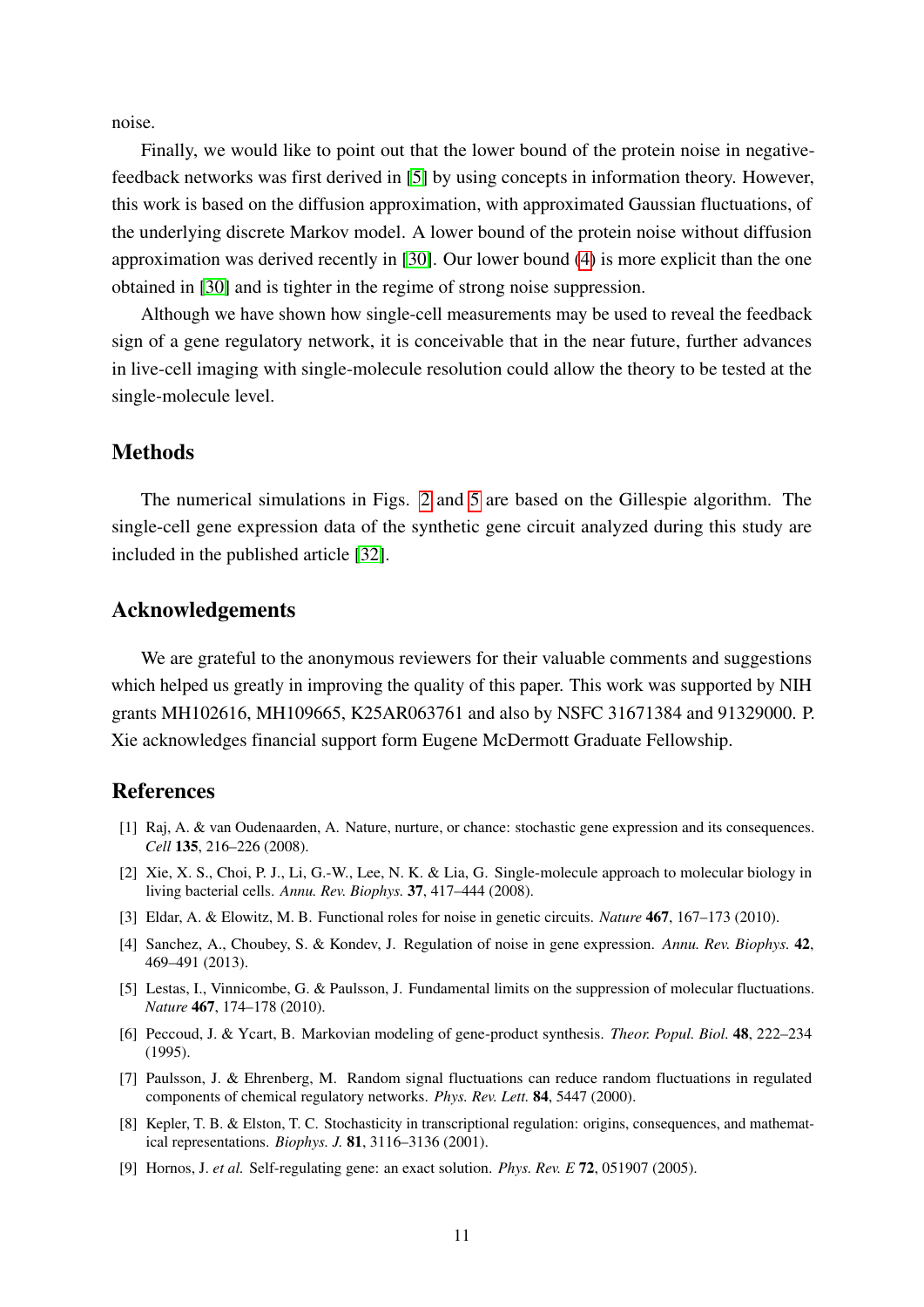noise.

Finally, we would like to point out that the lower bound of the protein noise in negativefeedback networks was first derived in [\[5\]](#page-10-2) by using concepts in information theory. However, this work is based on the diffusion approximation, with approximated Gaussian fluctuations, of the underlying discrete Markov model. A lower bound of the protein noise without diffusion approximation was derived recently in [\[30\]](#page-11-14). Our lower bound [\(4\)](#page-4-0) is more explicit than the one obtained in [\[30\]](#page-11-14) and is tighter in the regime of strong noise suppression.

Although we have shown how single-cell measurements may be used to reveal the feedback sign of a gene regulatory network, it is conceivable that in the near future, further advances in live-cell imaging with single-molecule resolution could allow the theory to be tested at the single-molecule level.

### Methods

The numerical simulations in Figs. [2](#page-5-0) and [5](#page-9-0) are based on the Gillespie algorithm. The single-cell gene expression data of the synthetic gene circuit analyzed during this study are included in the published article [\[32\]](#page-11-16).

### Acknowledgements

We are grateful to the anonymous reviewers for their valuable comments and suggestions which helped us greatly in improving the quality of this paper. This work was supported by NIH grants MH102616, MH109665, K25AR063761 and also by NSFC 31671384 and 91329000. P. Xie acknowledges financial support form Eugene McDermott Graduate Fellowship.

### References

- <span id="page-10-0"></span>[1] Raj, A. & van Oudenaarden, A. Nature, nurture, or chance: stochastic gene expression and its consequences. *Cell* 135, 216–226 (2008).
- [2] Xie, X. S., Choi, P. J., Li, G.-W., Lee, N. K. & Lia, G. Single-molecule approach to molecular biology in living bacterial cells. *Annu. Rev. Biophys.* 37, 417–444 (2008).
- [3] Eldar, A. & Elowitz, M. B. Functional roles for noise in genetic circuits. *Nature* 467, 167–173 (2010).
- <span id="page-10-1"></span>[4] Sanchez, A., Choubey, S. & Kondev, J. Regulation of noise in gene expression. *Annu. Rev. Biophys.* 42, 469–491 (2013).
- <span id="page-10-2"></span>[5] Lestas, I., Vinnicombe, G. & Paulsson, J. Fundamental limits on the suppression of molecular fluctuations. *Nature* 467, 174–178 (2010).
- <span id="page-10-3"></span>[6] Peccoud, J. & Ycart, B. Markovian modeling of gene-product synthesis. *Theor. Popul. Biol.* 48, 222–234 (1995).
- <span id="page-10-4"></span>[7] Paulsson, J. & Ehrenberg, M. Random signal fluctuations can reduce random fluctuations in regulated components of chemical regulatory networks. *Phys. Rev. Lett.* 84, 5447 (2000).
- [8] Kepler, T. B. & Elston, T. C. Stochasticity in transcriptional regulation: origins, consequences, and mathematical representations. *Biophys. J.* 81, 3116–3136 (2001).
- [9] Hornos, J. *et al.* Self-regulating gene: an exact solution. *Phys. Rev. E* 72, 051907 (2005).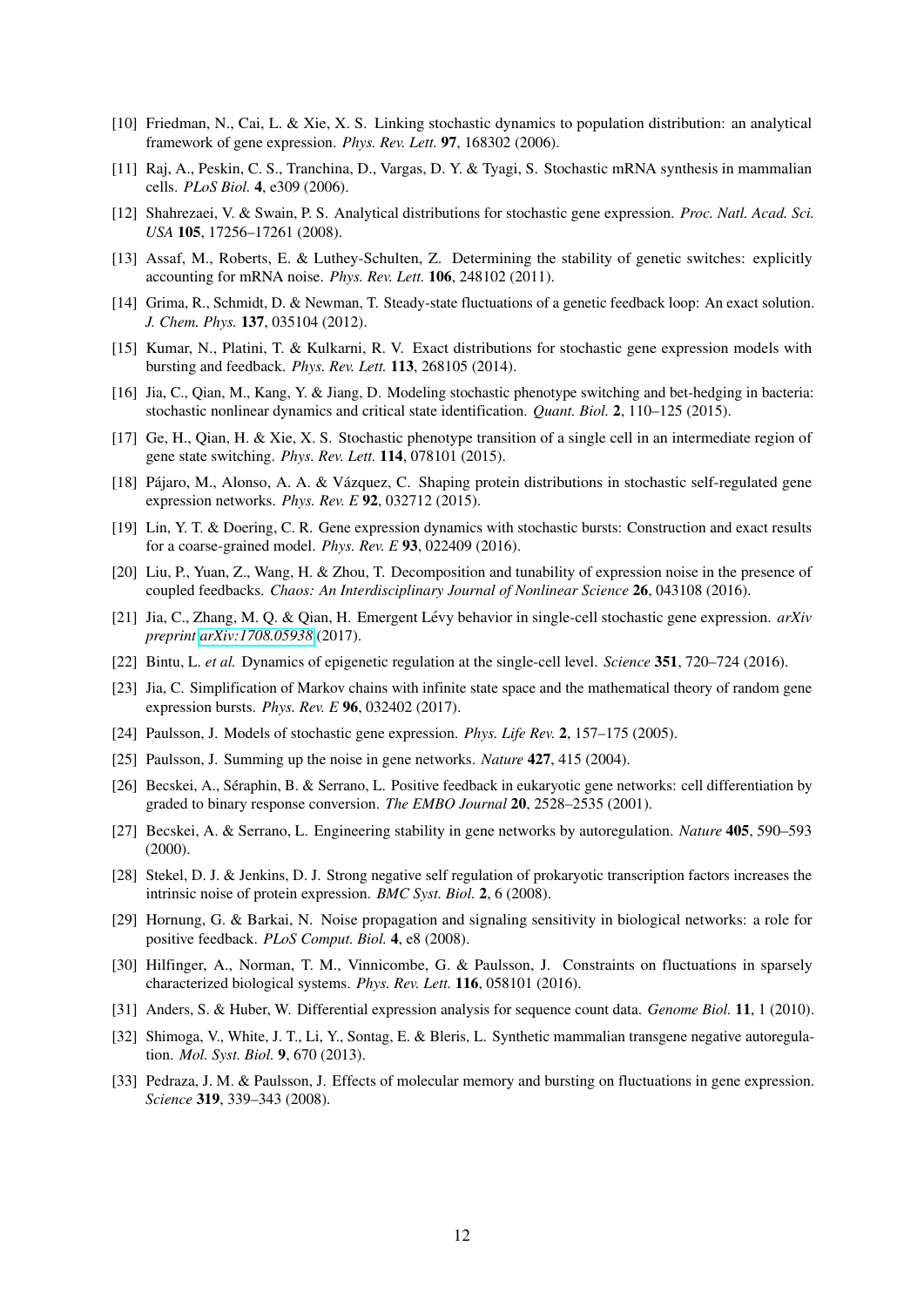- <span id="page-11-4"></span>[10] Friedman, N., Cai, L. & Xie, X. S. Linking stochastic dynamics to population distribution: an analytical framework of gene expression. *Phys. Rev. Lett.* 97, 168302 (2006).
- [11] Raj, A., Peskin, C. S., Tranchina, D., Vargas, D. Y. & Tyagi, S. Stochastic mRNA synthesis in mammalian cells. *PLoS Biol.* 4, e309 (2006).
- <span id="page-11-1"></span>[12] Shahrezaei, V. & Swain, P. S. Analytical distributions for stochastic gene expression. *Proc. Natl. Acad. Sci. USA* 105, 17256–17261 (2008).
- [13] Assaf, M., Roberts, E. & Luthey-Schulten, Z. Determining the stability of genetic switches: explicitly accounting for mRNA noise. *Phys. Rev. Lett.* 106, 248102 (2011).
- [14] Grima, R., Schmidt, D. & Newman, T. Steady-state fluctuations of a genetic feedback loop: An exact solution. *J. Chem. Phys.* 137, 035104 (2012).
- <span id="page-11-2"></span>[15] Kumar, N., Platini, T. & Kulkarni, R. V. Exact distributions for stochastic gene expression models with bursting and feedback. *Phys. Rev. Lett.* 113, 268105 (2014).
- [16] Jia, C., Qian, M., Kang, Y. & Jiang, D. Modeling stochastic phenotype switching and bet-hedging in bacteria: stochastic nonlinear dynamics and critical state identification. *Quant. Biol.* 2, 110–125 (2015).
- <span id="page-11-5"></span>[17] Ge, H., Qian, H. & Xie, X. S. Stochastic phenotype transition of a single cell in an intermediate region of gene state switching. *Phys. Rev. Lett.* 114, 078101 (2015).
- [18] Pájaro, M., Alonso, A. A. & Vázquez, C. Shaping protein distributions in stochastic self-regulated gene expression networks. *Phys. Rev. E* 92, 032712 (2015).
- [19] Lin, Y. T. & Doering, C. R. Gene expression dynamics with stochastic bursts: Construction and exact results for a coarse-grained model. *Phys. Rev. E* 93, 022409 (2016).
- <span id="page-11-13"></span>[20] Liu, P., Yuan, Z., Wang, H. & Zhou, T. Decomposition and tunability of expression noise in the presence of coupled feedbacks. *Chaos: An Interdisciplinary Journal of Nonlinear Science* 26, 043108 (2016).
- <span id="page-11-0"></span>[21] Jia, C., Zhang, M. Q. & Qian, H. Emergent Lévy behavior in single-cell stochastic gene expression.  $arXiv$ *preprint [arXiv:1708.05938](http://arxiv.org/abs/1708.05938)* (2017).
- <span id="page-11-3"></span>[22] Bintu, L. *et al.* Dynamics of epigenetic regulation at the single-cell level. *Science* 351, 720–724 (2016).
- <span id="page-11-6"></span>[23] Jia, C. Simplification of Markov chains with infinite state space and the mathematical theory of random gene expression bursts. *Phys. Rev. E* 96, 032402 (2017).
- <span id="page-11-7"></span>[24] Paulsson, J. Models of stochastic gene expression. *Phys. Life Rev.* 2, 157–175 (2005).
- <span id="page-11-8"></span>[25] Paulsson, J. Summing up the noise in gene networks. *Nature* 427, 415 (2004).
- <span id="page-11-9"></span>[26] Becskei, A., Seraphin, B. & Serrano, L. Positive feedback in eukaryotic gene networks: cell differentiation by ´ graded to binary response conversion. *The EMBO Journal* 20, 2528–2535 (2001).
- <span id="page-11-10"></span>[27] Becskei, A. & Serrano, L. Engineering stability in gene networks by autoregulation. *Nature* 405, 590–593 (2000).
- <span id="page-11-11"></span>[28] Stekel, D. J. & Jenkins, D. J. Strong negative self regulation of prokaryotic transcription factors increases the intrinsic noise of protein expression. *BMC Syst. Biol.* 2, 6 (2008).
- <span id="page-11-12"></span>[29] Hornung, G. & Barkai, N. Noise propagation and signaling sensitivity in biological networks: a role for positive feedback. *PLoS Comput. Biol.* 4, e8 (2008).
- <span id="page-11-14"></span>[30] Hilfinger, A., Norman, T. M., Vinnicombe, G. & Paulsson, J. Constraints on fluctuations in sparsely characterized biological systems. *Phys. Rev. Lett.* 116, 058101 (2016).
- <span id="page-11-15"></span>[31] Anders, S. & Huber, W. Differential expression analysis for sequence count data. *Genome Biol.* 11, 1 (2010).
- <span id="page-11-16"></span>[32] Shimoga, V., White, J. T., Li, Y., Sontag, E. & Bleris, L. Synthetic mammalian transgene negative autoregulation. *Mol. Syst. Biol.* 9, 670 (2013).
- <span id="page-11-17"></span>[33] Pedraza, J. M. & Paulsson, J. Effects of molecular memory and bursting on fluctuations in gene expression. *Science* 319, 339–343 (2008).